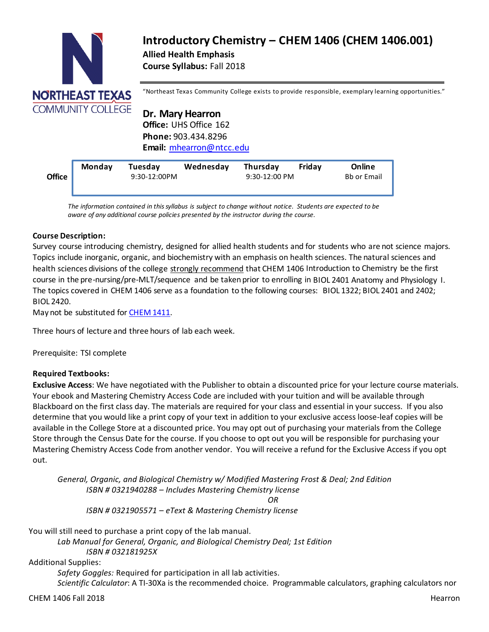

# **Introductory Chemistry – CHEM 1406 (CHEM 1406.001) Allied Health Emphasis Course Syllabus:** Fall 2018

"Northeast Texas Community College exists to provide responsible, exemplary learning opportunities."

**Dr. Mary Hearron Office:** UHS Office 162 **Phone:** 903.434.8296 **Email:** [mhearron@ntcc.edu](mailto:mhearron@ntcc.edu)

| <b>Monday</b><br>Fridav<br>Online<br>Tuesday<br>Wednesday<br>Thursday<br><b>Office</b><br><b>Bb or Email</b><br>9:30-12:00PM<br>9:30-12:00 PM |  |
|-----------------------------------------------------------------------------------------------------------------------------------------------|--|
|-----------------------------------------------------------------------------------------------------------------------------------------------|--|

**Email or Bb** *aware of any additional course policies presented by the instructor during the course. The information contained in thissyllabus is subject to change without notice. Students are expected to be*

# **Course Description:**

Survey course introducing chemistry, designed for allied health students and for students who are not science majors. Topics include inorganic, organic, and biochemistry with an emphasis on health sciences. The natural sciences and health sciences divisions of the college strongly recommend that CHEM 1406 Introduction to Chemistry be the first course in the pre-nursing/pre-MLT/sequence and be taken prior to enrolling in BIOL 2401 Anatomy and Physiology I. The topics covered in CHEM 1406 serve as a foundation to the following courses: BIOL 1322; BIOL 2401 and 2402; BIOL 2420.

May not be substituted for [CHEM](http://catalog.ntcc.edu/content.php?filter%5B27%5D=CHEM&filter%5B29%5D&filter%5Bcourse_type%5D=-1&filter%5Bkeyword%5D&filter%5B32%5D=1&filter%5Bcpage%5D=1&cur_cat_oid=3&expand&navoid=752&search_database=Filter&tt5818) 1411.

Three hours of lecture and three hours of lab each week.

Prerequisite: TSI complete

# **Required Textbooks:**

**Exclusive Access**: We have negotiated with the Publisher to obtain a discounted price for your lecture course materials. Your ebook and Mastering Chemistry Access Code are included with your tuition and will be available through Blackboard on the first class day. The materials are required for your class and essential in your success. If you also determine that you would like a print copy of your text in addition to your exclusive access loose-leaf copies will be available in the College Store at a discounted price. You may opt out of purchasing your materials from the College Store through the Census Date for the course. If you choose to opt out you will be responsible for purchasing your Mastering Chemistry Access Code from another vendor. You will receive a refund for the Exclusive Access if you opt out.

*General, Organic, and Biological Chemistry w/ Modified Mastering Frost & Deal; 2nd Edition ISBN # 0321940288 – Includes Mastering Chemistry license OR ISBN # 0321905571 – eText & Mastering Chemistry license*

You will still need to purchase a print copy of the lab manual.

*Lab Manual for General, Organic, and Biological Chemistry Deal; 1st Edition ISBN # 032181925X*

Additional Supplies:

*Safety Goggles:* Required for participation in all lab activities*. Scientific Calculator*: A TI-30Xa is the recommended choice. Programmable calculators, graphing calculators nor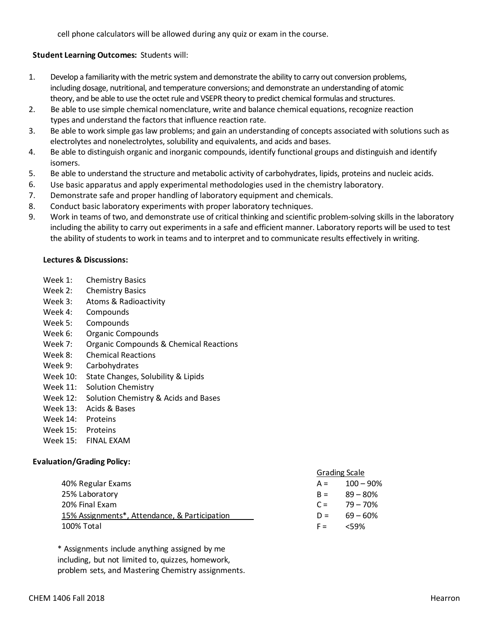cell phone calculators will be allowed during any quiz or exam in the course.

# **Student Learning Outcomes:** Students will:

- 1. Develop a familiarity with the metric system and demonstrate the ability to carry out conversion problems, including dosage, nutritional, and temperature conversions; and demonstrate an understanding of atomic theory, and be able to use the octet rule and VSEPR theory to predict chemical formulas and structures.
- 2. Be able to use simple chemical nomenclature, write and balance chemical equations, recognize reaction types and understand the factors that influence reaction rate.
- 3. Be able to work simple gas law problems; and gain an understanding of concepts associated with solutions such as electrolytes and nonelectrolytes, solubility and equivalents, and acids and bases.
- 4. Be able to distinguish organic and inorganic compounds, identify functional groups and distinguish and identify isomers.
- 5. Be able to understand the structure and metabolic activity of carbohydrates, lipids, proteins and nucleic acids.
- 6. Use basic apparatus and apply experimental methodologies used in the chemistry laboratory.
- 7. Demonstrate safe and proper handling of laboratory equipment and chemicals.
- 8. Conduct basic laboratory experiments with proper laboratory techniques.
- 9. Work in teams of two, and demonstrate use of critical thinking and scientific problem-solving skills in the laboratory including the ability to carry out experiments in a safe and efficient manner. Laboratory reports will be used to test the ability of students to work in teams and to interpret and to communicate results effectively in writing.

#### **Lectures & Discussions:**

- Week 1: Chemistry Basics
- Week 2: Chemistry Basics
- Week 3: Atoms & Radioactivity
- Week 4: Compounds
- Week 5: Compounds
- Week 6: Organic Compounds
- Week 7: Organic Compounds & Chemical Reactions
- Week 8: Chemical Reactions
- Week 9: Carbohydrates
- Week 10: State Changes, Solubility & Lipids
- Week 11: Solution Chemistry
- Week 12: Solution Chemistry & Acids and Bases
- Week 13: Acids & Bases
- Week 14: Proteins
- Week 15: Proteins
- Week 15: FINAL EXAM

# **Evaluation/Grading Policy:**

|                                                            | <b>Grading Scale</b> |                  |
|------------------------------------------------------------|----------------------|------------------|
| 40% Regular Exams                                          |                      | $A = 100 - 90\%$ |
| 25% Laboratory                                             |                      | $B = 89 - 80\%$  |
| 20% Final Exam                                             |                      | $C = 79 - 70\%$  |
| 15% Assignments <sup>*</sup> , Attendance, & Participation |                      | $D = 69 - 60\%$  |
| 100% Total                                                 | $F =$                | <59%             |

\* Assignments include anything assigned by me including, but not limited to, quizzes, homework, problem sets, and Mastering Chemistry assignments.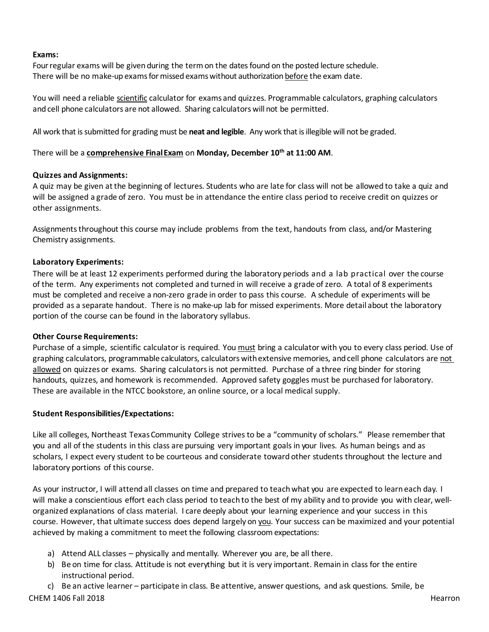#### **Exams:**

Four regular exams will be given during the term on the dates found on the posted lecture schedule. There will be no make-up exams for missed exams without authorization before the exam date.

You will need a reliable scientific calculator for exams and quizzes. Programmable calculators, graphing calculators and cell phone calculators are not allowed. Sharing calculators will not be permitted.

All work that is submitted for grading must be **neat and legible**. Any work that is illegible will not be graded.

# There will be a **comprehensive FinalExam** on **Monday, December 10th at 11:00 AM**.

# **Quizzes and Assignments:**

A quiz may be given at the beginning of lectures. Students who are late for class will not be allowed to take a quiz and will be assigned a grade of zero. You must be in attendance the entire class period to receive credit on quizzes or other assignments.

Assignmentsthroughout this course may include problems from the text, handouts from class, and/or Mastering Chemistry assignments.

# **Laboratory Experiments:**

There will be at least 12 experiments performed during the laboratory periods and a lab practical over the course of the term. Any experiments not completed and turned in will receive a grade ofzero. A total of 8 experiments must be completed and receive a non-zero grade in order to pass this course. A schedule of experiments will be provided as a separate handout. There is no make-up lab for missed experiments. More detail about the laboratory portion of the course can be found in the laboratory syllabus.

# **Other Course Requirements:**

Purchase of a simple, scientific calculator is required. You must bring a calculator with you to every class period. Use of graphing calculators, programmable calculators, calculators with extensive memories, and cell phone calculators are not allowed on quizzes or exams. Sharing calculatorsis not permitted. Purchase of a three ring binder for storing handouts, quizzes, and homework is recommended. Approved safety goggles must be purchased for laboratory. These are available in the NTCC bookstore, an online source, or a local medical supply.

# **Student Responsibilities/Expectations:**

Like all colleges, Northeast TexasCommunity College strives to be a "community of scholars." Please remember that you and all of the students in this class are pursuing very important goals in your lives. As human beings and as scholars, I expect every student to be courteous and considerate toward other students throughout the lecture and laboratory portions of this course.

As your instructor, I will attend all classes on time and prepared to teachwhat you are expected to learn each day. I will make a conscientious effort each class period to teach to the best of my ability and to provide you with clear, wellorganized explanations of class material. I care deeply about your learning experience and your success in this course. However, that ultimate success does depend largely on you. Your success can be maximized and your potential achieved by making a commitment to meet the following classroom expectations:

- a) Attend ALL classes physically and mentally. Wherever you are, be all there.
- b) Be on time for class. Attitude is not everything but it is very important. Remain in class for the entire instructional period.

CHEM 1406 Fall 2018 Hearron c) Be an active learner – participate in class. Be attentive, answer questions, and ask questions. Smile, be